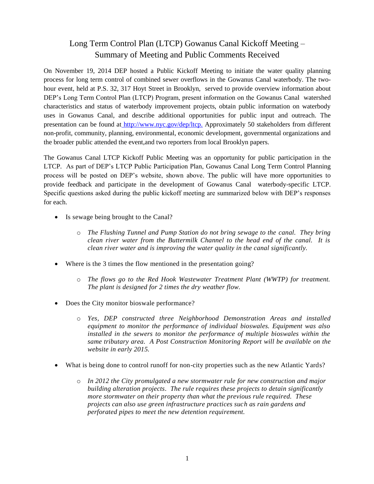## Long Term Control Plan (LTCP) Gowanus Canal Kickoff Meeting – Summary of Meeting and Public Comments Received

On November 19, 2014 DEP hosted a Public Kickoff Meeting to initiate the water quality planning process for long term control of combined sewer overflows in the Gowanus Canal waterbody. The twohour event, held at P.S. 32, 317 Hoyt Street in Brooklyn, served to provide overview information about DEP's Long Term Control Plan (LTCP) Program, present information on the Gowanus Canal watershed characteristics and status of waterbody improvement projects, obtain public information on waterbody uses in Gowanus Canal, and describe additional opportunities for public input and outreach. The presentation can be found at [http://www.nyc.gov/dep/ltcp.](http://www.nyc.gov/dep/ltcp) Approximately 50 stakeholders from different non-profit, community, planning, environmental, economic development, governmental organizations and the broader public attended the event,and two reporters from local Brooklyn papers.

The Gowanus Canal LTCP Kickoff Public Meeting was an opportunity for public participation in the LTCP. As part of DEP's LTCP Public Participation Plan, Gowanus Canal Long Term Control Planning process will be posted on DEP's website, shown above. The public will have more opportunities to provide feedback and participate in the development of Gowanus Canal waterbody-specific LTCP. Specific questions asked during the public kickoff meeting are summarized below with DEP's responses for each.

- Is sewage being brought to the Canal?
	- o *The Flushing Tunnel and Pump Station do not bring sewage to the canal. They bring clean river water from the Buttermilk Channel to the head end of the canal. It is clean river water and is improving the water quality in the canal significantly.*
- Where is the 3 times the flow mentioned in the presentation going?
	- o *The flows go to the Red Hook Wastewater Treatment Plant (WWTP) for treatment. The plant is designed for 2 times the dry weather flow.*
- Does the City monitor bioswale performance?
	- o *Yes, DEP constructed three Neighborhood Demonstration Areas and installed equipment to monitor the performance of individual bioswales. Equipment was also installed in the sewers to monitor the performance of multiple bioswales within the same tributary area. A Post Construction Monitoring Report will be available on the website in early 2015.*
- What is being done to control runoff for non-city properties such as the new Atlantic Yards?
	- o *In 2012 the City promulgated a new stormwater rule for new construction and major building alteration projects. The rule requires these projects to detain significantly more stormwater on their property than what the previous rule required. These projects can also use green infrastructure practices such as rain gardens and perforated pipes to meet the new detention requirement.*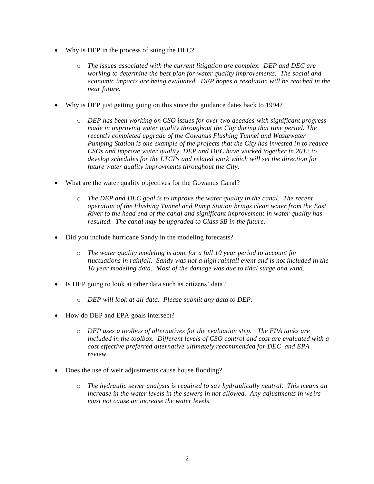- Why is DEP in the process of suing the DEC?
	- o *The issues associated with the current litigation are complex. DEP and DEC are working to determine the best plan for water quality improvements. The social and economic impacts are being evaluated. DEP hopes a resolution will be reached in the near future.*
- Why is DEP just getting going on this since the guidance dates back to 1994?
	- o *DEP has been working on CSO issues for over two decades with significant progress made in improving water quality throughout the City during that time period. The recently completed upgrade of the Gowanus Flushing Tunnel and Wastewater Pumping Station is one example of the projects that the City has invested in to reduce CSOs and improve water quality. DEP and DEC have worked together in 2012 to develop schedules for the LTCPs and related work which will set the direction for future water quality improvments throughout the City.*
- What are the water quality objectives for the Gowanus Canal?
	- o *The DEP and DEC goal is to improve the water quality in the canal. The recent operation of the Flushing Tunnel and Pump Station brings clean water from the East River to the head end of the canal and significant improvement in water quality has resulted. The canal may be upgraded to Class SB in the future.*
- Did you include hurricane Sandy in the modeling forecasts?
	- o *The water quality modeling is done for a full 10 year period to account for fluctuations in rainfall. Sandy was not a high rainfall event and is not included in the 10 year modeling data. Most of the damage was due to tidal surge and wind.*
- Is DEP going to look at other data such as citizens' data?
	- o *DEP will look at all data. Please submit any data to DEP.*
- How do DEP and EPA goals intersect?
	- o *DEP uses a toolbox of alternatives for the evaluation step. The EPA tanks are included in the toolbox. Different levels of CSO control and cost are evaluated with a cost effective preferred alternative ultimately recommended for DEC and EPA review.*
- Does the use of weir adjustments cause house flooding?
	- o *The hydraulic sewer analysis is required to say hydraulically neutral. This means an increase in the water levels in the sewers in not allowed. Any adjustments in weirs must not cause an increase the water levels.*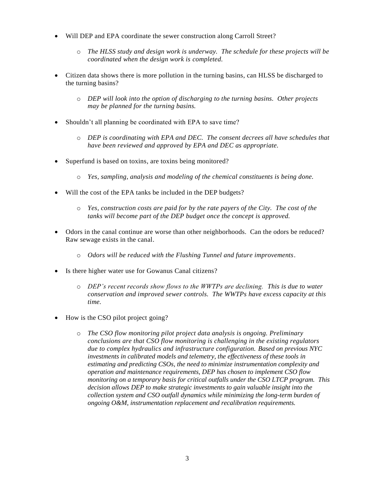- Will DEP and EPA coordinate the sewer construction along Carroll Street?
	- o *The HLSS study and design work is underway. The schedule for these projects will be coordinated when the design work is completed.*
- Citizen data shows there is more pollution in the turning basins, can HLSS be discharged to the turning basins?
	- o *DEP will look into the option of discharging to the turning basins. Other projects may be planned for the turning basins.*
- Shouldn't all planning be coordinated with EPA to save time?
	- o *DEP is coordinating with EPA and DEC. The consent decrees all have schedules that have been reviewed and approved by EPA and DEC as appropriate.*
- Superfund is based on toxins, are toxins being monitored?
	- o *Yes, sampling, analysis and modeling of the chemical constituents is being done.*
- Will the cost of the EPA tanks be included in the DEP budgets?
	- o *Yes, construction costs are paid for by the rate payers of the City. The cost of the tanks will become part of the DEP budget once the concept is approved.*
- Odors in the canal continue are worse than other neighborhoods. Can the odors be reduced? Raw sewage exists in the canal.
	- o *Odors will be reduced with the Flushing Tunnel and future improvements.*
- Is there higher water use for Gowanus Canal citizens?
	- o *DEP's recent records show flows to the WWTPs are declining. This is due to water conservation and improved sewer controls. The WWTPs have excess capacity at this time.*
- How is the CSO pilot project going?
	- o *The CSO flow monitoring pilot project data analysis is ongoing. Preliminary conclusions are that CSO flow monitoring is challenging in the existing regulators due to complex hydraulics and infrastructure configuration. Based on previous NYC investments in calibrated models and telemetry, the effectiveness of these tools in estimating and predicting CSOs, the need to minimize instrumentation complexity and operation and maintenance requirements, DEP has chosen to implement CSO flow monitoring on a temporary basis for critical outfalls under the CSO LTCP program. This decision allows DEP to make strategic investments to gain valuable insight into the collection system and CSO outfall dynamics while minimizing the long-term burden of ongoing O&M, instrumentation replacement and recalibration requirements.*